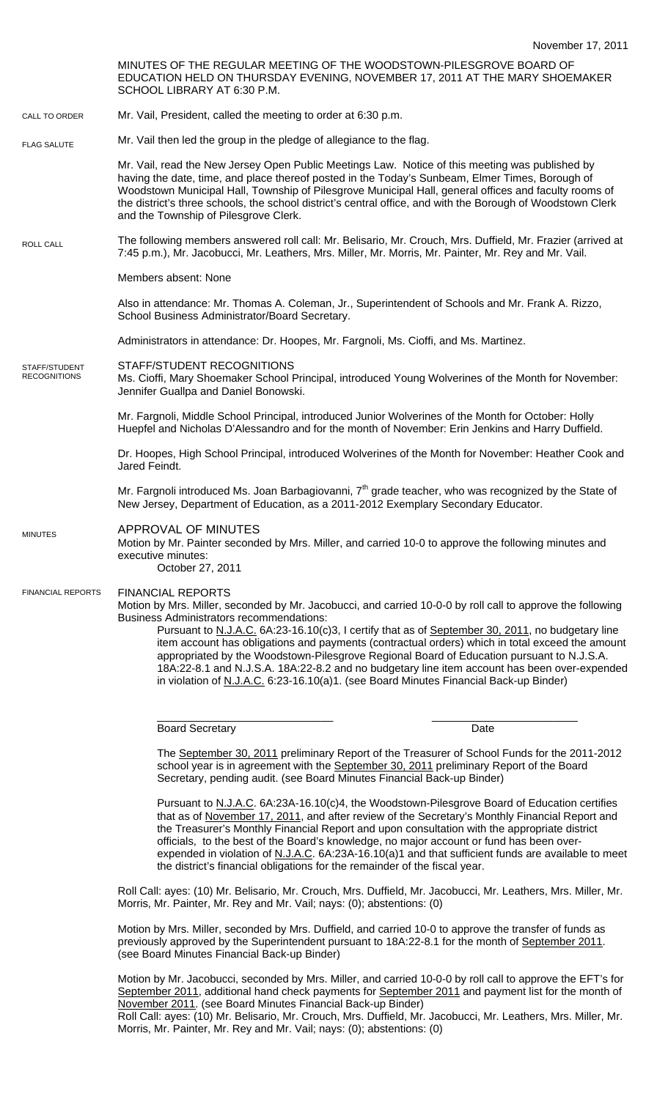November 17, 2011 MINUTES OF THE REGULAR MEETING OF THE WOODSTOWN-PILESGROVE BOARD OF EDUCATION HELD ON THURSDAY EVENING, NOVEMBER 17, 2011 AT THE MARY SHOEMAKER SCHOOL LIBRARY AT 6:30 P.M. Mr. Vail, President, called the meeting to order at 6:30 p.m. Mr. Vail then led the group in the pledge of allegiance to the flag. Mr. Vail, read the New Jersey Open Public Meetings Law. Notice of this meeting was published by having the date, time, and place thereof posted in the Today's Sunbeam, Elmer Times, Borough of Woodstown Municipal Hall, Township of Pilesgrove Municipal Hall, general offices and faculty rooms of the district's three schools, the school district's central office, and with the Borough of Woodstown Clerk and the Township of Pilesgrove Clerk. The following members answered roll call: Mr. Belisario, Mr. Crouch, Mrs. Duffield, Mr. Frazier (arrived at 7:45 p.m.), Mr. Jacobucci, Mr. Leathers, Mrs. Miller, Mr. Morris, Mr. Painter, Mr. Rey and Mr. Vail. Members absent: None Also in attendance: Mr. Thomas A. Coleman, Jr., Superintendent of Schools and Mr. Frank A. Rizzo, School Business Administrator/Board Secretary. Administrators in attendance: Dr. Hoopes, Mr. Fargnoli, Ms. Cioffi, and Ms. Martinez. STAFF/STUDENT RECOGNITIONS Ms. Cioffi, Mary Shoemaker School Principal, introduced Young Wolverines of the Month for November: Jennifer Guallpa and Daniel Bonowski. Mr. Fargnoli, Middle School Principal, introduced Junior Wolverines of the Month for October: Holly Huepfel and Nicholas D'Alessandro and for the month of November: Erin Jenkins and Harry Duffield. Dr. Hoopes, High School Principal, introduced Wolverines of the Month for November: Heather Cook and Jared Feindt. Mr. Fargnoli introduced Ms. Joan Barbagiovanni,  $7<sup>th</sup>$  grade teacher, who was recognized by the State of New Jersey, Department of Education, as a 2011-2012 Exemplary Secondary Educator. APPROVAL OF MINUTES Motion by Mr. Painter seconded by Mrs. Miller, and carried 10-0 to approve the following minutes and executive minutes: October 27, 2011 FINANCIAL REPORTS Motion by Mrs. Miller, seconded by Mr. Jacobucci, and carried 10-0-0 by roll call to approve the following Business Administrators recommendations: Pursuant to N.J.A.C. 6A:23-16.10(c)3, I certify that as of September 30, 2011, no budgetary line item account has obligations and payments (contractual orders) which in total exceed the amount appropriated by the Woodstown-Pilesgrove Regional Board of Education pursuant to N.J.S.A. 18A:22-8.1 and N.J.S.A. 18A:22-8.2 and no budgetary line item account has been over-expended in violation of N.J.A.C. 6:23-16.10(a)1. (see Board Minutes Financial Back-up Binder) \_\_\_\_\_\_\_\_\_\_\_\_\_\_\_\_\_\_\_\_\_\_\_\_\_\_\_\_\_ \_\_\_\_\_\_\_\_\_\_\_\_\_\_\_\_\_\_\_\_\_\_\_\_ Board Secretary **Date** The September 30, 2011 preliminary Report of the Treasurer of School Funds for the 2011-2012 school year is in agreement with the September 30, 2011 preliminary Report of the Board Secretary, pending audit. (see Board Minutes Financial Back-up Binder) Pursuant to N.J.A.C. 6A:23A-16.10(c)4, the Woodstown-Pilesgrove Board of Education certifies that as of November 17, 2011, and after review of the Secretary's Monthly Financial Report and the Treasurer's Monthly Financial Report and upon consultation with the appropriate district officials, to the best of the Board's knowledge, no major account or fund has been overexpended in violation of N.J.A.C. 6A:23A-16.10(a)1 and that sufficient funds are available to meet the district's financial obligations for the remainder of the fiscal year. CALL TO ORDER ROLL CALL FLAG SALUTE MINUTES FINANCIAL REPORTS STAFF/STUDENT **RECOGNITIONS** 

> Roll Call: ayes: (10) Mr. Belisario, Mr. Crouch, Mrs. Duffield, Mr. Jacobucci, Mr. Leathers, Mrs. Miller, Mr. Morris, Mr. Painter, Mr. Rey and Mr. Vail; nays: (0); abstentions: (0)

Motion by Mrs. Miller, seconded by Mrs. Duffield, and carried 10-0 to approve the transfer of funds as previously approved by the Superintendent pursuant to 18A:22-8.1 for the month of September 2011. (see Board Minutes Financial Back-up Binder)

Motion by Mr. Jacobucci, seconded by Mrs. Miller, and carried 10-0-0 by roll call to approve the EFT's for September 2011, additional hand check payments for September 2011 and payment list for the month of November 2011. (see Board Minutes Financial Back-up Binder) Roll Call: ayes: (10) Mr. Belisario, Mr. Crouch, Mrs. Duffield, Mr. Jacobucci, Mr. Leathers, Mrs. Miller, Mr. Morris, Mr. Painter, Mr. Rey and Mr. Vail; nays: (0); abstentions: (0)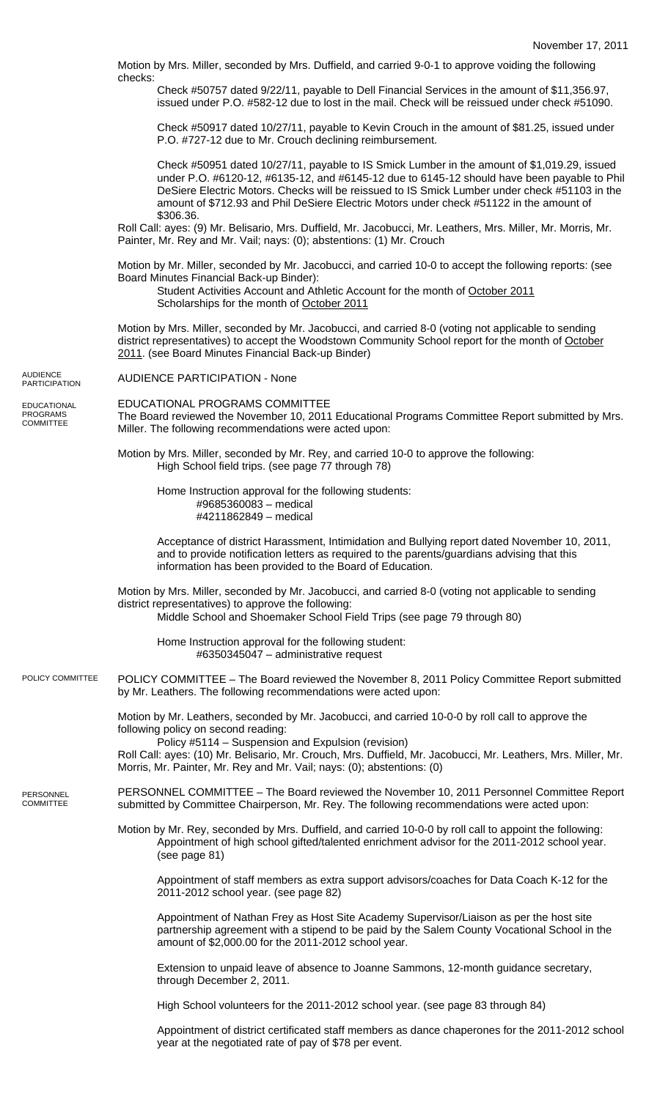Motion by Mrs. Miller, seconded by Mrs. Duffield, and carried 9-0-1 to approve voiding the following checks: Check #50757 dated 9/22/11, payable to Dell Financial Services in the amount of \$11,356.97, issued under P.O. #582-12 due to lost in the mail. Check will be reissued under check #51090.

Check #50917 dated 10/27/11, payable to Kevin Crouch in the amount of \$81.25, issued under P.O. #727-12 due to Mr. Crouch declining reimbursement.

Check #50951 dated 10/27/11, payable to IS Smick Lumber in the amount of \$1,019.29, issued under P.O. #6120-12, #6135-12, and #6145-12 due to 6145-12 should have been payable to Phil DeSiere Electric Motors. Checks will be reissued to IS Smick Lumber under check #51103 in the amount of \$712.93 and Phil DeSiere Electric Motors under check #51122 in the amount of \$306.36.

Roll Call: ayes: (9) Mr. Belisario, Mrs. Duffield, Mr. Jacobucci, Mr. Leathers, Mrs. Miller, Mr. Morris, Mr. Painter, Mr. Rey and Mr. Vail; nays: (0); abstentions: (1) Mr. Crouch

Motion by Mr. Miller, seconded by Mr. Jacobucci, and carried 10-0 to accept the following reports: (see Board Minutes Financial Back-up Binder):

Student Activities Account and Athletic Account for the month of October 2011 Scholarships for the month of October 2011

Motion by Mrs. Miller, seconded by Mr. Jacobucci, and carried 8-0 (voting not applicable to sending district representatives) to accept the Woodstown Community School report for the month of October 2011. (see Board Minutes Financial Back-up Binder)

AUDIENCE PARTICIPATION - None

EDUCATIONAL PROGRAMS COMMITTEE The Board reviewed the November 10, 2011 Educational Programs Committee Report submitted by Mrs. Miller. The following recommendations were acted upon:

Motion by Mrs. Miller, seconded by Mr. Rey, and carried 10-0 to approve the following: High School field trips. (see page 77 through 78)

Home Instruction approval for the following students: #9685360083 – medical #4211862849 – medical

Acceptance of district Harassment, Intimidation and Bullying report dated November 10, 2011, and to provide notification letters as required to the parents/guardians advising that this information has been provided to the Board of Education.

Motion by Mrs. Miller, seconded by Mr. Jacobucci, and carried 8-0 (voting not applicable to sending district representatives) to approve the following: Middle School and Shoemaker School Field Trips (see page 79 through 80)

Home Instruction approval for the following student: #6350345047 – administrative request

POLICY COMMITTEE – The Board reviewed the November 8, 2011 Policy Committee Report submitted by Mr. Leathers. The following recommendations were acted upon: POLICY COMMITTEE

> Motion by Mr. Leathers, seconded by Mr. Jacobucci, and carried 10-0-0 by roll call to approve the following policy on second reading: Policy #5114 – Suspension and Expulsion (revision)

Roll Call: ayes: (10) Mr. Belisario, Mr. Crouch, Mrs. Duffield, Mr. Jacobucci, Mr. Leathers, Mrs. Miller, Mr. Morris, Mr. Painter, Mr. Rey and Mr. Vail; nays: (0); abstentions: (0)

PERSONNEL COMMITTEE – The Board reviewed the November 10, 2011 Personnel Committee Report submitted by Committee Chairperson, Mr. Rey. The following recommendations were acted upon: **PERSONNEL COMMITTEE** 

> Motion by Mr. Rey, seconded by Mrs. Duffield, and carried 10-0-0 by roll call to appoint the following: Appointment of high school gifted/talented enrichment advisor for the 2011-2012 school year. (see page 81)

Appointment of staff members as extra support advisors/coaches for Data Coach K-12 for the 2011-2012 school year. (see page 82)

Appointment of Nathan Frey as Host Site Academy Supervisor/Liaison as per the host site partnership agreement with a stipend to be paid by the Salem County Vocational School in the amount of \$2,000.00 for the 2011-2012 school year.

Extension to unpaid leave of absence to Joanne Sammons, 12-month guidance secretary, through December 2, 2011.

High School volunteers for the 2011-2012 school year. (see page 83 through 84)

Appointment of district certificated staff members as dance chaperones for the 2011-2012 school year at the negotiated rate of pay of \$78 per event.

AUDIENCE **PARTICIPATION** 

EDUCATIONAL PROGRAMS **COMMITTEE**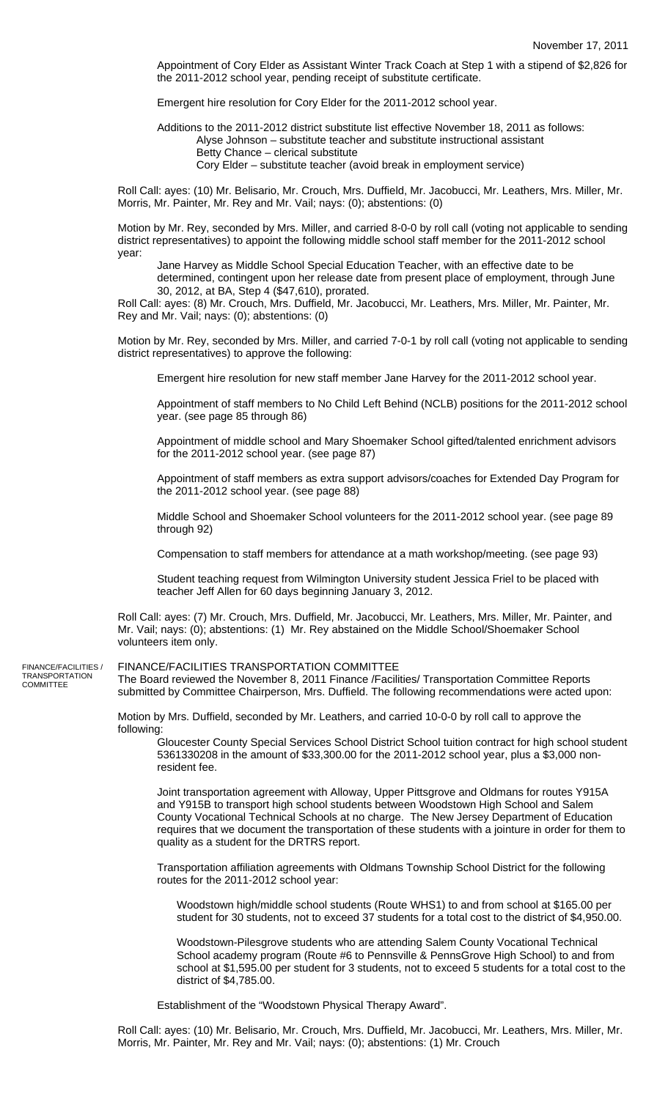Appointment of Cory Elder as Assistant Winter Track Coach at Step 1 with a stipend of \$2,826 for the 2011-2012 school year, pending receipt of substitute certificate.

Emergent hire resolution for Cory Elder for the 2011-2012 school year.

Additions to the 2011-2012 district substitute list effective November 18, 2011 as follows: Alyse Johnson – substitute teacher and substitute instructional assistant Betty Chance – clerical substitute Cory Elder – substitute teacher (avoid break in employment service)

Roll Call: ayes: (10) Mr. Belisario, Mr. Crouch, Mrs. Duffield, Mr. Jacobucci, Mr. Leathers, Mrs. Miller, Mr. Morris, Mr. Painter, Mr. Rey and Mr. Vail; nays: (0); abstentions: (0)

Motion by Mr. Rey, seconded by Mrs. Miller, and carried 8-0-0 by roll call (voting not applicable to sending district representatives) to appoint the following middle school staff member for the 2011-2012 school year:

Jane Harvey as Middle School Special Education Teacher, with an effective date to be determined, contingent upon her release date from present place of employment, through June 30, 2012, at BA, Step 4 (\$47,610), prorated.

Roll Call: ayes: (8) Mr. Crouch, Mrs. Duffield, Mr. Jacobucci, Mr. Leathers, Mrs. Miller, Mr. Painter, Mr. Rey and Mr. Vail; nays: (0); abstentions: (0)

Motion by Mr. Rey, seconded by Mrs. Miller, and carried 7-0-1 by roll call (voting not applicable to sending district representatives) to approve the following:

Emergent hire resolution for new staff member Jane Harvey for the 2011-2012 school year.

Appointment of staff members to No Child Left Behind (NCLB) positions for the 2011-2012 school year. (see page 85 through 86)

Appointment of middle school and Mary Shoemaker School gifted/talented enrichment advisors for the 2011-2012 school year. (see page 87)

Appointment of staff members as extra support advisors/coaches for Extended Day Program for the 2011-2012 school year. (see page 88)

Middle School and Shoemaker School volunteers for the 2011-2012 school year. (see page 89 through 92)

Compensation to staff members for attendance at a math workshop/meeting. (see page 93)

Student teaching request from Wilmington University student Jessica Friel to be placed with teacher Jeff Allen for 60 days beginning January 3, 2012.

Roll Call: ayes: (7) Mr. Crouch, Mrs. Duffield, Mr. Jacobucci, Mr. Leathers, Mrs. Miller, Mr. Painter, and Mr. Vail; nays: (0); abstentions: (1) Mr. Rey abstained on the Middle School/Shoemaker School volunteers item only.

FINANCE/FACILITIES / TRANSPORTATION COMMITTEE

## FINANCE/FACILITIES TRANSPORTATION COMMITTEE

The Board reviewed the November 8, 2011 Finance /Facilities/ Transportation Committee Reports submitted by Committee Chairperson, Mrs. Duffield. The following recommendations were acted upon:

Motion by Mrs. Duffield, seconded by Mr. Leathers, and carried 10-0-0 by roll call to approve the following:

Gloucester County Special Services School District School tuition contract for high school student 5361330208 in the amount of \$33,300.00 for the 2011-2012 school year, plus a \$3,000 nonresident fee.

Joint transportation agreement with Alloway, Upper Pittsgrove and Oldmans for routes Y915A and Y915B to transport high school students between Woodstown High School and Salem County Vocational Technical Schools at no charge. The New Jersey Department of Education requires that we document the transportation of these students with a jointure in order for them to quality as a student for the DRTRS report.

Transportation affiliation agreements with Oldmans Township School District for the following routes for the 2011-2012 school year:

Woodstown high/middle school students (Route WHS1) to and from school at \$165.00 per student for 30 students, not to exceed 37 students for a total cost to the district of \$4,950.00.

Woodstown-Pilesgrove students who are attending Salem County Vocational Technical School academy program (Route #6 to Pennsville & PennsGrove High School) to and from school at \$1,595.00 per student for 3 students, not to exceed 5 students for a total cost to the district of \$4,785.00.

Establishment of the "Woodstown Physical Therapy Award".

Roll Call: ayes: (10) Mr. Belisario, Mr. Crouch, Mrs. Duffield, Mr. Jacobucci, Mr. Leathers, Mrs. Miller, Mr. Morris, Mr. Painter, Mr. Rey and Mr. Vail; nays: (0); abstentions: (1) Mr. Crouch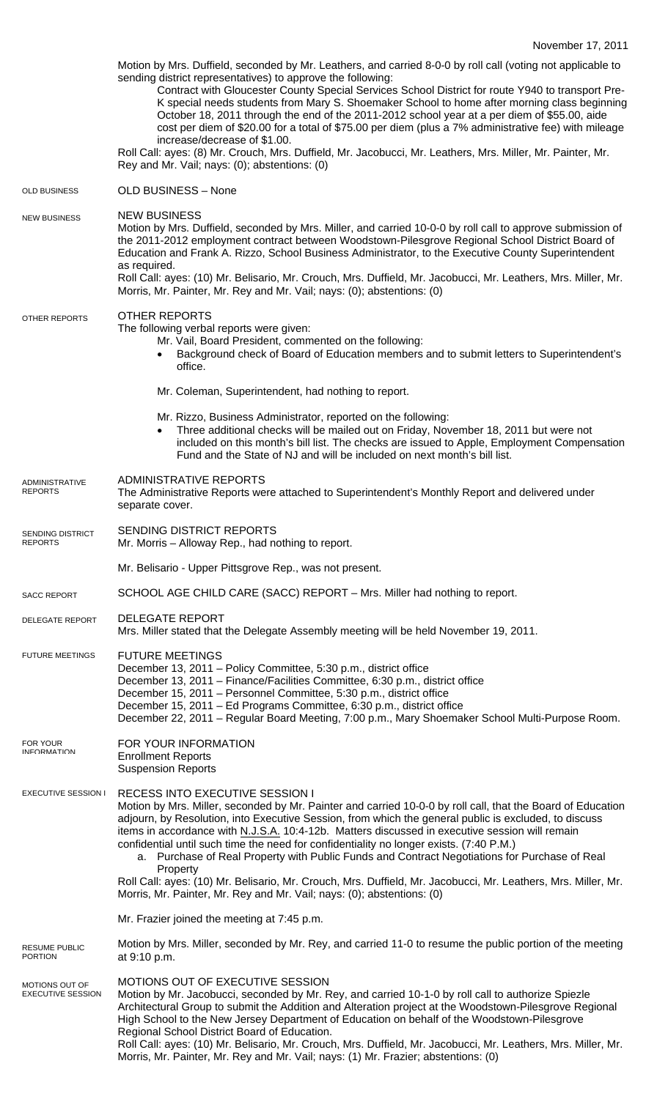|                                            | Motion by Mrs. Duffield, seconded by Mr. Leathers, and carried 8-0-0 by roll call (voting not applicable to<br>sending district representatives) to approve the following:<br>Contract with Gloucester County Special Services School District for route Y940 to transport Pre-<br>K special needs students from Mary S. Shoemaker School to home after morning class beginning<br>October 18, 2011 through the end of the 2011-2012 school year at a per diem of \$55.00, aide<br>cost per diem of \$20.00 for a total of \$75.00 per diem (plus a 7% administrative fee) with mileage<br>increase/decrease of \$1.00.<br>Roll Call: ayes: (8) Mr. Crouch, Mrs. Duffield, Mr. Jacobucci, Mr. Leathers, Mrs. Miller, Mr. Painter, Mr.<br>Rey and Mr. Vail; nays: (0); abstentions: (0) |
|--------------------------------------------|----------------------------------------------------------------------------------------------------------------------------------------------------------------------------------------------------------------------------------------------------------------------------------------------------------------------------------------------------------------------------------------------------------------------------------------------------------------------------------------------------------------------------------------------------------------------------------------------------------------------------------------------------------------------------------------------------------------------------------------------------------------------------------------|
| <b>OLD BUSINESS</b>                        | OLD BUSINESS - None                                                                                                                                                                                                                                                                                                                                                                                                                                                                                                                                                                                                                                                                                                                                                                    |
| <b>NEW BUSINESS</b>                        | <b>NEW BUSINESS</b><br>Motion by Mrs. Duffield, seconded by Mrs. Miller, and carried 10-0-0 by roll call to approve submission of<br>the 2011-2012 employment contract between Woodstown-Pilesgrove Regional School District Board of<br>Education and Frank A. Rizzo, School Business Administrator, to the Executive County Superintendent<br>as required.<br>Roll Call: ayes: (10) Mr. Belisario, Mr. Crouch, Mrs. Duffield, Mr. Jacobucci, Mr. Leathers, Mrs. Miller, Mr.<br>Morris, Mr. Painter, Mr. Rey and Mr. Vail; nays: (0); abstentions: (0)                                                                                                                                                                                                                                |
| OTHER REPORTS                              | <b>OTHER REPORTS</b><br>The following verbal reports were given:<br>Mr. Vail, Board President, commented on the following:<br>Background check of Board of Education members and to submit letters to Superintendent's<br>office.                                                                                                                                                                                                                                                                                                                                                                                                                                                                                                                                                      |
|                                            | Mr. Coleman, Superintendent, had nothing to report.                                                                                                                                                                                                                                                                                                                                                                                                                                                                                                                                                                                                                                                                                                                                    |
|                                            | Mr. Rizzo, Business Administrator, reported on the following:<br>Three additional checks will be mailed out on Friday, November 18, 2011 but were not<br>included on this month's bill list. The checks are issued to Apple, Employment Compensation<br>Fund and the State of NJ and will be included on next month's bill list.                                                                                                                                                                                                                                                                                                                                                                                                                                                       |
| <b>ADMINISTRATIVE</b><br><b>REPORTS</b>    | <b>ADMINISTRATIVE REPORTS</b><br>The Administrative Reports were attached to Superintendent's Monthly Report and delivered under<br>separate cover.                                                                                                                                                                                                                                                                                                                                                                                                                                                                                                                                                                                                                                    |
| <b>SENDING DISTRICT</b><br><b>REPURIS</b>  | SENDING DISTRICT REPORTS<br>Mr. Morris - Alloway Rep., had nothing to report.                                                                                                                                                                                                                                                                                                                                                                                                                                                                                                                                                                                                                                                                                                          |
|                                            | Mr. Belisario - Upper Pittsgrove Rep., was not present.                                                                                                                                                                                                                                                                                                                                                                                                                                                                                                                                                                                                                                                                                                                                |
| <b>SACC REPORT</b>                         | SCHOOL AGE CHILD CARE (SACC) REPORT - Mrs. Miller had nothing to report.                                                                                                                                                                                                                                                                                                                                                                                                                                                                                                                                                                                                                                                                                                               |
| DELEGATE REPORT                            | <b>DELEGATE REPORT</b><br>Mrs. Miller stated that the Delegate Assembly meeting will be held November 19, 2011.                                                                                                                                                                                                                                                                                                                                                                                                                                                                                                                                                                                                                                                                        |
| <b>FUTURE MEETINGS</b>                     | <b>FUTURE MEETINGS</b><br>December 13, 2011 - Policy Committee, 5:30 p.m., district office<br>December 13, 2011 - Finance/Facilities Committee, 6:30 p.m., district office<br>December 15, 2011 - Personnel Committee, 5:30 p.m., district office<br>December 15, 2011 – Ed Programs Committee, 6:30 p.m., district office<br>December 22, 2011 - Regular Board Meeting, 7:00 p.m., Mary Shoemaker School Multi-Purpose Room.                                                                                                                                                                                                                                                                                                                                                          |
| FOR YOUR<br><b>INFORMATION</b>             | FOR YOUR INFORMATION<br><b>Enrollment Reports</b><br><b>Suspension Reports</b>                                                                                                                                                                                                                                                                                                                                                                                                                                                                                                                                                                                                                                                                                                         |
| EXECUTIVE SESSION I                        | RECESS INTO EXECUTIVE SESSION I<br>Motion by Mrs. Miller, seconded by Mr. Painter and carried 10-0-0 by roll call, that the Board of Education<br>adjourn, by Resolution, into Executive Session, from which the general public is excluded, to discuss<br>items in accordance with N.J.S.A. 10:4-12b. Matters discussed in executive session will remain<br>confidential until such time the need for confidentiality no longer exists. (7:40 P.M.)<br>a. Purchase of Real Property with Public Funds and Contract Negotiations for Purchase of Real<br>Property<br>Roll Call: ayes: (10) Mr. Belisario, Mr. Crouch, Mrs. Duffield, Mr. Jacobucci, Mr. Leathers, Mrs. Miller, Mr.                                                                                                     |
|                                            | Morris, Mr. Painter, Mr. Rey and Mr. Vail; nays: (0); abstentions: (0)                                                                                                                                                                                                                                                                                                                                                                                                                                                                                                                                                                                                                                                                                                                 |
|                                            | Mr. Frazier joined the meeting at 7:45 p.m.                                                                                                                                                                                                                                                                                                                                                                                                                                                                                                                                                                                                                                                                                                                                            |
| <b>RESUME PUBLIC</b><br><b>PORTION</b>     | Motion by Mrs. Miller, seconded by Mr. Rey, and carried 11-0 to resume the public portion of the meeting<br>at 9:10 p.m.                                                                                                                                                                                                                                                                                                                                                                                                                                                                                                                                                                                                                                                               |
| MOTIONS OUT OF<br><b>EXECUTIVE SESSION</b> | MOTIONS OUT OF EXECUTIVE SESSION<br>Motion by Mr. Jacobucci, seconded by Mr. Rey, and carried 10-1-0 by roll call to authorize Spiezle<br>Architectural Group to submit the Addition and Alteration project at the Woodstown-Pilesgrove Regional<br>High School to the New Jersey Department of Education on behalf of the Woodstown-Pilesgrove<br>Regional School District Board of Education.<br>Roll Call: ayes: (10) Mr. Belisario, Mr. Crouch, Mrs. Duffield, Mr. Jacobucci, Mr. Leathers, Mrs. Miller, Mr.<br>Morris, Mr. Painter, Mr. Rey and Mr. Vail; nays: (1) Mr. Frazier; abstentions: (0)                                                                                                                                                                                 |